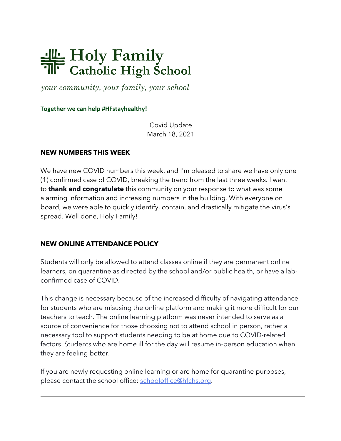## Holy Family<br>The Catholic High School

*your community, your family, your school*

**Together we can help #HFstayhealthy!**

Covid Update March 18, 2021

## **NEW NUMBERS THIS WEEK**

We have new COVID numbers this week, and I'm pleased to share we have only one (1) confirmed case of COVID, breaking the trend from the last three weeks. I want to **thank and congratulate** this community on your response to what was some alarming information and increasing numbers in the building. With everyone on board, we were able to quickly identify, contain, and drastically mitigate the virus's spread. Well done, Holy Family!

## **NEW ONLINE ATTENDANCE POLICY**

Students will only be allowed to attend classes online if they are permanent online learners, on quarantine as directed by the school and/or public health, or have a labconfirmed case of COVID.

This change is necessary because of the increased difficulty of navigating attendance for students who are misusing the online platform and making it more difficult for our teachers to teach. The online learning platform was never intended to serve as a source of convenience for those choosing not to attend school in person, rather a necessary tool to support students needing to be at home due to COVID-related factors. Students who are home ill for the day will resume in-person education when they are feeling better.

If you are newly requesting online learning or are home for quarantine purposes, please contact the school office: schooloffice@hfchs.org.